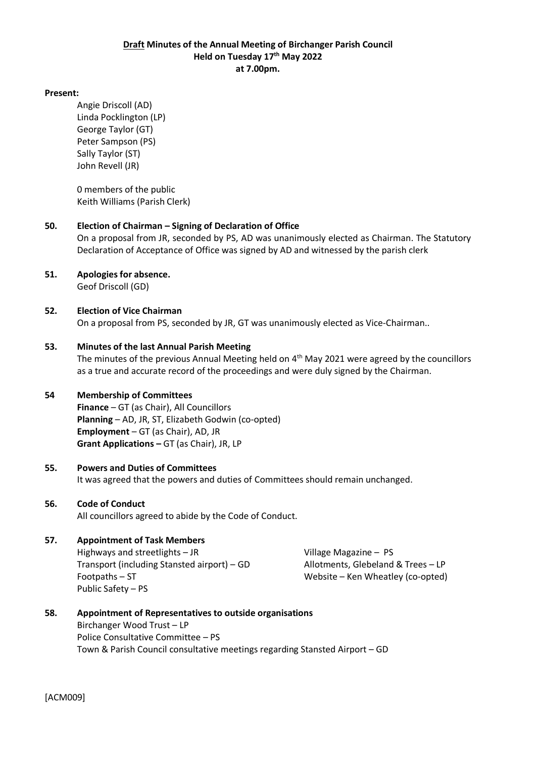### **Draft Minutes of the Annual Meeting of Birchanger Parish Council Held on Tuesday 17 th May 2022 at 7.00pm.**

#### **Present:**

Angie Driscoll (AD) Linda Pocklington (LP) George Taylor (GT) Peter Sampson (PS) Sally Taylor (ST) John Revell (JR)

0 members of the public Keith Williams (Parish Clerk)

### **50. Election of Chairman – Signing of Declaration of Office**

On a proposal from JR, seconded by PS, AD was unanimously elected as Chairman. The Statutory Declaration of Acceptance of Office was signed by AD and witnessed by the parish clerk

**51. Apologies for absence.**

Geof Driscoll (GD)

#### **52. Election of Vice Chairman**  On a proposal from PS, seconded by JR, GT was unanimously elected as Vice-Chairman..

## **53. Minutes of the last Annual Parish Meeting**

The minutes of the previous Annual Meeting held on 4<sup>th</sup> May 2021 were agreed by the councillors as a true and accurate record of the proceedings and were duly signed by the Chairman.

### **54 Membership of Committees**

**Finance** – GT (as Chair), All Councillors **Planning** – AD, JR, ST, Elizabeth Godwin (co-opted) **Employment** – GT (as Chair), AD, JR **Grant Applications –** GT (as Chair), JR, LP

### **55. Powers and Duties of Committees**

It was agreed that the powers and duties of Committees should remain unchanged.

### **56. Code of Conduct**

All councillors agreed to abide by the Code of Conduct.

### **57. Appointment of Task Members**

Highways and streetlights – JR The Magazine – PS Village Magazine – PS Transport (including Stansted airport) – GD Allotments, Glebeland & Trees – LP Footpaths – ST Website – Ken Wheatley (co-opted) Public Safety – PS

**58. Appointment of Representatives to outside organisations** Birchanger Wood Trust – LP Police Consultative Committee – PS Town & Parish Council consultative meetings regarding Stansted Airport – GD